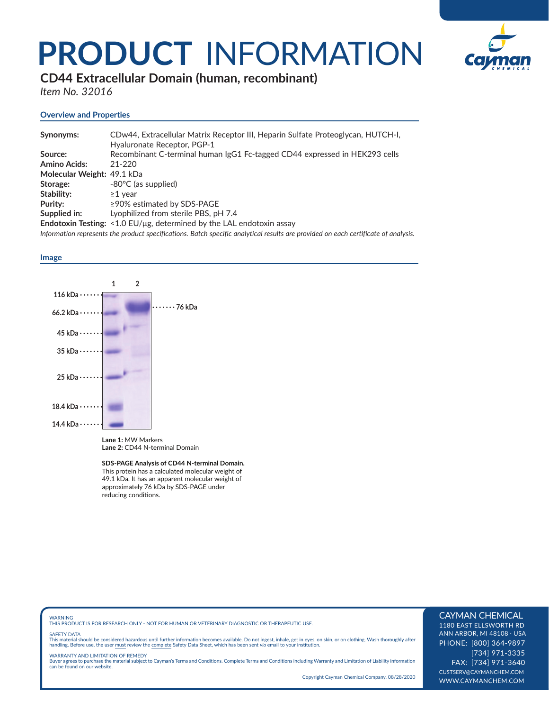## **PRODUCT** INFORMATION



**CD44 Extracellular Domain (human, recombinant)** 

*Item No. 32016*

### **Overview and Properties**

| Synonyms:                  | CDw44, Extracellular Matrix Receptor III, Heparin Sulfate Proteoglycan, HUTCH-I,                                                   |
|----------------------------|------------------------------------------------------------------------------------------------------------------------------------|
|                            | Hyaluronate Receptor, PGP-1                                                                                                        |
| Source:                    | Recombinant C-terminal human IgG1 Fc-tagged CD44 expressed in HEK293 cells                                                         |
| <b>Amino Acids:</b>        | $21 - 220$                                                                                                                         |
| Molecular Weight: 49.1 kDa |                                                                                                                                    |
| Storage:                   | -80°C (as supplied)                                                                                                                |
| Stability:                 | $\geq$ 1 vear                                                                                                                      |
| Purity:                    | ≥90% estimated by SDS-PAGE                                                                                                         |
| Supplied in:               | Lyophilized from sterile PBS, pH 7.4                                                                                               |
|                            | Endotoxin Testing: <1.0 EU/µg, determined by the LAL endotoxin assay                                                               |
|                            | Information represents the product specifications. Batch specific analytical results are provided on each certificate of analysis. |

#### **Image**



**Lane 1:** MW Markers **Lane 2:** CD44 N-terminal Domain

**SDS-PAGE Analysis of CD44 N-terminal Domain.**  This protein has a calculated molecular weight of 49.1 kDa. It has an apparent molecular weight of approximately 76 kDa by SDS-PAGE under reducing conditions.

WARNING THIS PRODUCT IS FOR RESEARCH ONLY - NOT FOR HUMAN OR VETERINARY DIAGNOSTIC OR THERAPEUTIC USE.

#### SAFETY DATA

This material should be considered hazardous until further information becomes available. Do not ingest, inhale, get in eyes, on skin, or on clothing. Wash thoroughly after<br>handling. Before use, the user must review the co

WARRANTY AND LIMITATION OF REMEDY<br>Buyer agrees to purchase the material subject to Cayman's Terms and Conditions. Complete Terms and Conditions including Warranty and Limitation of Liability information<br>can be found on our

Copyright Cayman Chemical Company, 08/28/2020

#### CAYMAN CHEMICAL

1180 EAST ELLSWORTH RD ANN ARBOR, MI 48108 · USA PHONE: [800] 364-9897 [734] 971-3335 FAX: [734] 971-3640 CUSTSERV@CAYMANCHEM.COM WWW.CAYMANCHEM.COM